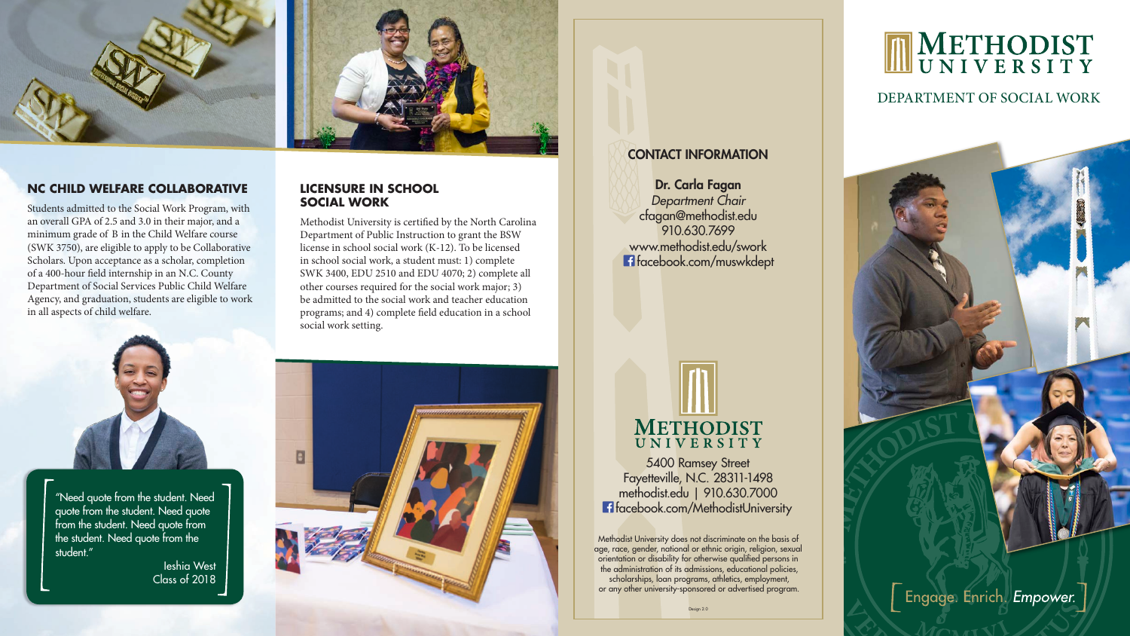



Students admitted to the Social Work Program, with an overall GPA of 2.5 and 3.0 in their major, and a minimum grade of B in the Child Welfare course (SWK 3750), are eligible to apply to be Collaborative Scholars. Upon acceptance as a scholar, completion of a 400-hour field internship in an N.C. County Department of Social Services Public Child Welfare Agency, and graduation, students are eligible to work in all aspects of child welfare.

cfagan@methodist.edu 910.630.7699 www.methodist.edu/swork **f** facebook.com/muswkdept

# METHODIST<br>UNIVERSITY

5400 Ramsey Street Fayetteville, N.C. 28311-1498 methodist.edu | 910.630.7000 **f** facebook.com/MethodistUniversity

"Need quote from the student. Need quote from the student. Need quote from the student. Need quote from the student. Need quote from the student."

> Ieshia West Class of 2018



DEPARTMENT OF SOCIAL WORK



Engage. Enrich Empower.

## CONTACT INFORMATION

#### Dr. Carla Fagan *Department Chair*

Methodist University does not discriminate on the basis of age, race, gender, national or ethnic origin, religion, sexual orientation or disability for otherwise qualified persons in the administration of its admissions, educational policies, scholarships, loan programs, athletics, employment, or any other university-sponsored or advertised program.

# METHODIST<br>UNIVERSITY



Methodist University is certified by the North Carolina Department of Public Instruction to grant the BSW license in school social work (K-12). To be licensed in school social work, a student must: 1) complete SWK 3400, EDU 2510 and EDU 4070; 2) complete all other courses required for the social work major; 3) be admitted to the social work and teacher education programs; and 4) complete field education in a school social work setting.